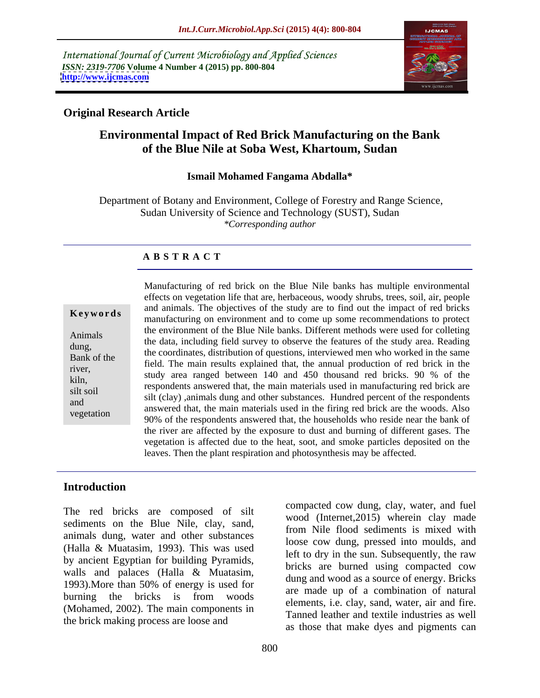International Journal of Current Microbiology and Applied Sciences *ISSN: 2319-7706* **Volume 4 Number 4 (2015) pp. 800-804 <http://www.ijcmas.com>**



### **Original Research Article**

# **Environmental Impact of Red Brick Manufacturing on the Bank of the Blue Nile at Soba West, Khartoum, Sudan**

#### **Ismail Mohamed Fangama Abdalla\***

Department of Botany and Environment, College of Forestry and Range Science, Sudan University of Science and Technology (SUST), Sudan *\*Corresponding author*

#### **A B S T R A C T**

vegetation

Manufacturing of red brick on the Blue Nile banks has multiple environmental effects on vegetation life that are, herbaceous, woody shrubs, trees, soil, air, people and animals. The objectives of the study are to find out the impact of red bricks **Keywords** and annuals. The objectives of the study are to find out the impact of fed blicks manufacturing on environment and to come up some recommendations to protect the environment of the Blue Nile banks. Different methods were used forcolleting Animals<br>the data, including field survey to observe the features of the study area. Reading dung,<br>the coordinates, distribution of questions, interviewed men who worked in the same<br>Replaced the same Bank of the<br>field. The main results explained that, the annual production of red brick in the<br>main results explained that, the annual production of red brick in the river,<br>study area ranged between 140 and 450 thousand red bricks. 90 % of the kiln,<br>
respondents answered that, the main materials used in manufacturing red brick are<br> silt soil<br>silt (clay) ,animals dung and other substances. Hundred percent of the respondents and<br>answered that, the main materials used in the firing red brick are the woods. Also 90% of the respondents answered that, the households who reside near the bank of the river are affected by the exposure to dust and burning of different gases. The vegetation is affected due to the heat, soot, and smoke particles deposited on the leaves. Then the plant respiration and photosynthesis may be affected.

### **Introduction**

The red bricks are composed of silt sediments on the Blue Nile, clay, sand, animals dung, water and other substances (Halla & Muatasim, 1993). This was used by ancient Egyptian for building Pyramids, walls and palaces (Halla & Muatasim, 1993).More than 50% of energy is used for burning the bricks is from woods are made up or a combination of hadra (Mohamed, 2002). The main components in the brick making process are loose and

compacted cow dung, clay, water, and fuel wood (Internet,2015) wherein clay made from Nile flood sediments is mixed with loose cow dung, pressed into moulds, and left to dry in the sun. Subsequently, the raw bricks are burned using compacted cow dung and wood as a source of energy. Bricks are made up of a combination of natural elements, i.e. clay, sand, water, air and fire. Tanned leather and textile industries as well as those that make dyes and pigments can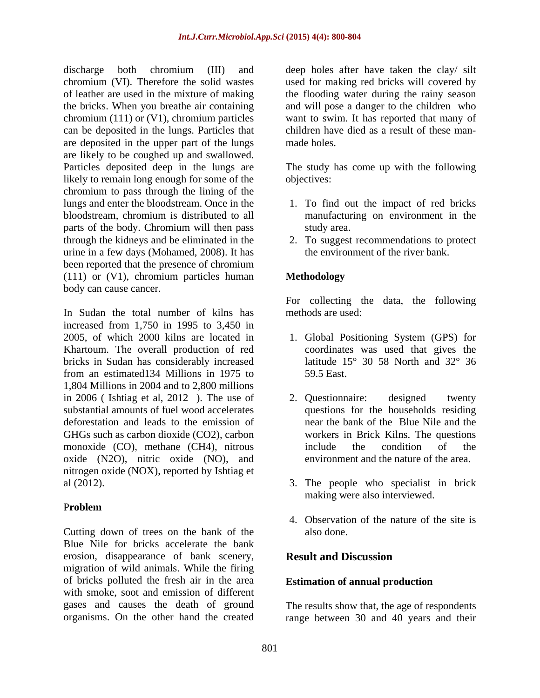discharge both chromium (III) and deep holes after have taken the clay/silt chromium (VI). Therefore the solid wastes of leather are used in the mixture of making the flooding water during the rainy season the bricks. When you breathe air containing and will pose a danger to the children who chromium (111) or (V1), chromium particles want to swim. It has reported that many of can be deposited in the lungs. Particles that are deposited in the upper part of the lungs are likely to be coughed up and swallowed. Particles deposited deep in the lungs are The study has come up with the following likely to remain long enough for some of the objectives: chromium to pass through the lining of the lungs and enter the bloodstream. Once in the 1. To find out the impact of red bricks bloodstream, chromium is distributed to all parts of the body. Chromium will then pass study area. through the kidneys and be eliminated in the 2. To suggest recommendations to protect urine in a few days (Mohamed, 2008). It has been reported that the presence of chromium (111) or (V1), chromium particles human body can cause cancer.

In Sudan the total number of kilns has increased from 1,750 in 1995 to 3,450 in 2005, of which 2000 kilns are located in 1. Global Positioning System (GPS) for Khartoum. The overall production of red bricks in Sudan has considerably increased from an estimated134 Millions in 1975 to 1,804 Millions in 2004 and to 2,800 millions in 2006 (Ishtiag et al. 2012). The use of 2. Questionnaire: designed twenty substantial amounts of fuel wood accelerates deforestation and leads to the emission of GHGs such as carbon dioxide (CO2), carbon monoxide (CO), methane (CH4), nitrous include the condition of the oxide (N2O), nitric oxide (NO), and nitrogen oxide (NOX), reported by Ishtiag et al (2012). 3. The people who specialist in brick

#### P**roblem**

Cutting down of trees on the bank of the Blue Nile for bricks accelerate the bank erosion, disappearance of bank scenery, migration of wild animals. While the firing of bricks polluted the fresh air in the area with smoke, soot and emission of different gases and causes the death of ground The results show that, the age of respondents

used for making red bricks will covered by children have died as a result of these man made holes.

objectives:

- manufacturing on environment in the study area.
- the environment of the river bank.

# **Methodology**

For collecting the data, the following methods are used:

- coordinates was used that gives the latitude  $15^{\circ}$  30 58 North and  $32^{\circ}$  36 59.5 East.
- 2. Questionnaire: designed twenty questions for the households residing near the bank of the Blue Nile and the workers in Brick Kilns. The questions include the condition of the environment and the nature of the area.
- making were also interviewed.
- 4. Observation of the nature of the site is also done.

# **Result and Discussion**

# **Estimation of annual production**

organisms. On the other hand the created range between 30 and 40 years and their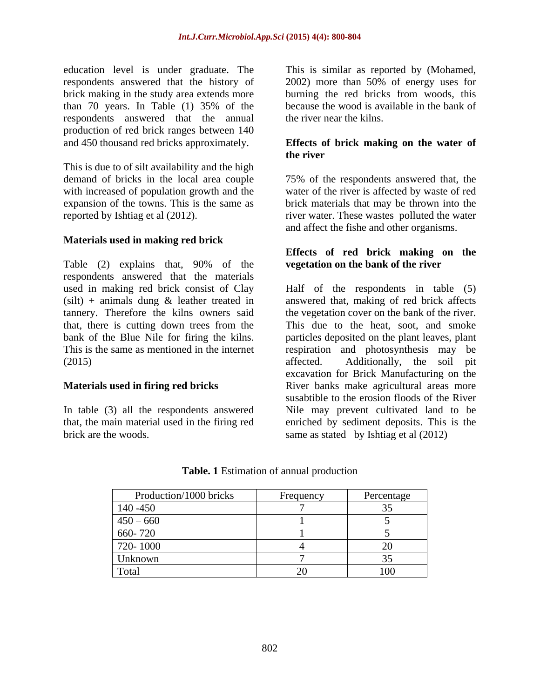education level is under graduate. The respondents answered that the history of 2002) more than 50% of energy uses for brick making in the study area extends more burning the red bricks from woods, this than 70 years. In Table (1) 35% of the respondents answered that the annual production of red brick ranges between 140 and 450 thousand red bricks approximately.

This is due to of silt availability and the high demand of bricks in the local area couple

#### **Materials used in making red brick**

Table (2) explains that, 90% of the vegetation on the bank of the river respondents answered that the materials

In table (3) all the respondents answered brick are the woods. same as stated by Ishtiag et al (2012)

This is similar as reported by (Mohamed, because the wood is available in the bank of the river near the kilns.

#### **Effects of brick making on the water of the river**

with increased of population growth and the water of the river is affected by waste of red expansion of the towns. This is the same as brick materials that may be thrown into the reported by Ishtiag et al (2012). river water. These wastes polluted the water 75% of the respondents answered that, the and affect the fishe and other organisms.

#### **Effects of red brick making on the vegetation on the bank of the river**

used in making red brick consist of Clay Half of the respondents in table (5) (silt) + animals dung & leather treated in answered that, making of red brick affects tannery. Therefore the kilns owners said the vegetation cover on the bank of the river. that, there is cutting down trees from the This due to the heat, soot, and smoke bank of the Blue Nile for firing the kilns. particles deposited on the plant leaves, plant This is the same as mentioned in the internet respiration and photosynthesis may be (2015) affected. Additionally, the soil pit **Materials used in firing red bricks** River banks make agricultural areas more that, the main material used in the firing red enriched by sediment deposits. This is the excavation for Brick Manufacturing on the susabtible to the erosion floods of the River Nile may prevent cultivated land to be

| Production/1000 bricks | Frequency | Percentage |
|------------------------|-----------|------------|
| $140 - 450$            |           |            |
| $450 - 660$            |           |            |
| 660-720                |           |            |
| 720-1000               |           |            |
| Unknown                |           |            |
| Total                  |           | 100        |

#### **Table. 1** Estimation of annual production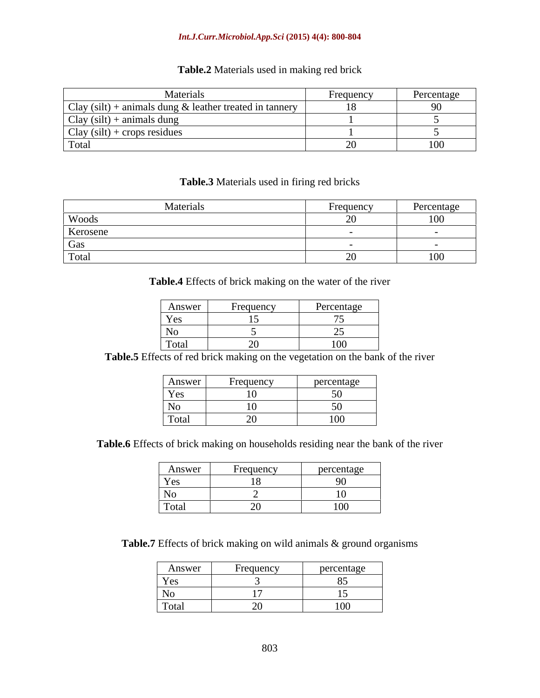#### *Int.J.Curr.Microbiol.App.Sci* **(2015) 4(4): 800-804**

# **Table.2** Materials used in making red brick

| Materials                                                                                   | Frequenc | Percentage |
|---------------------------------------------------------------------------------------------|----------|------------|
| (silt)<br>$Cl_{3V}$<br>$+$ animals dung $\&$ leather treated in tannery<br>$\mathcal{L}$ ia |          |            |
| $C_{\text{av}}$ .<br>$y$ (silt) + animals dung<br>$\cup$ lav                                |          |            |
| $(silt)$ + crops residues<br>$Cl_{3V}$ .                                                    |          |            |
| Tota                                                                                        |          |            |

#### **Table.3** Materials used in firing red bricks

| Materials | Frequency    | Percentage |
|-----------|--------------|------------|
| Woods     |              | ነ በበ       |
| Kerosene  |              |            |
| Gas       |              |            |
| Total     | $\sim$<br>້⇔ | 100        |

**Table.4** Effects of brick making on the water of the river

| Answer | Frequency | Percentage |
|--------|-----------|------------|
| Yes    |           |            |
| No     |           |            |
| Total  |           | 100        |

**Table.5** Effects of red brick making on the vegetation on the bank of the river

| Answer         | Frequency | percentage   |
|----------------|-----------|--------------|
| Yes            |           |              |
| N <sub>o</sub> |           |              |
| Total          |           | 100<br>$  -$ |

**Table.6** Effects of brick making on households residing near the bank of the river

| Answer | Frequency                | percentage         |
|--------|--------------------------|--------------------|
| Yes    |                          |                    |
| No     |                          |                    |
| Total  | $\overline{\phantom{0}}$ | $\sim$ $ -$<br>100 |

Table.7 Effects of brick making on wild animals & ground organisms

| Answer | $\overline{\phantom{a}}$<br>Frequency | percentage |
|--------|---------------------------------------|------------|
| Yes    |                                       |            |
| No     | .                                     |            |
| Total  |                                       | 100        |